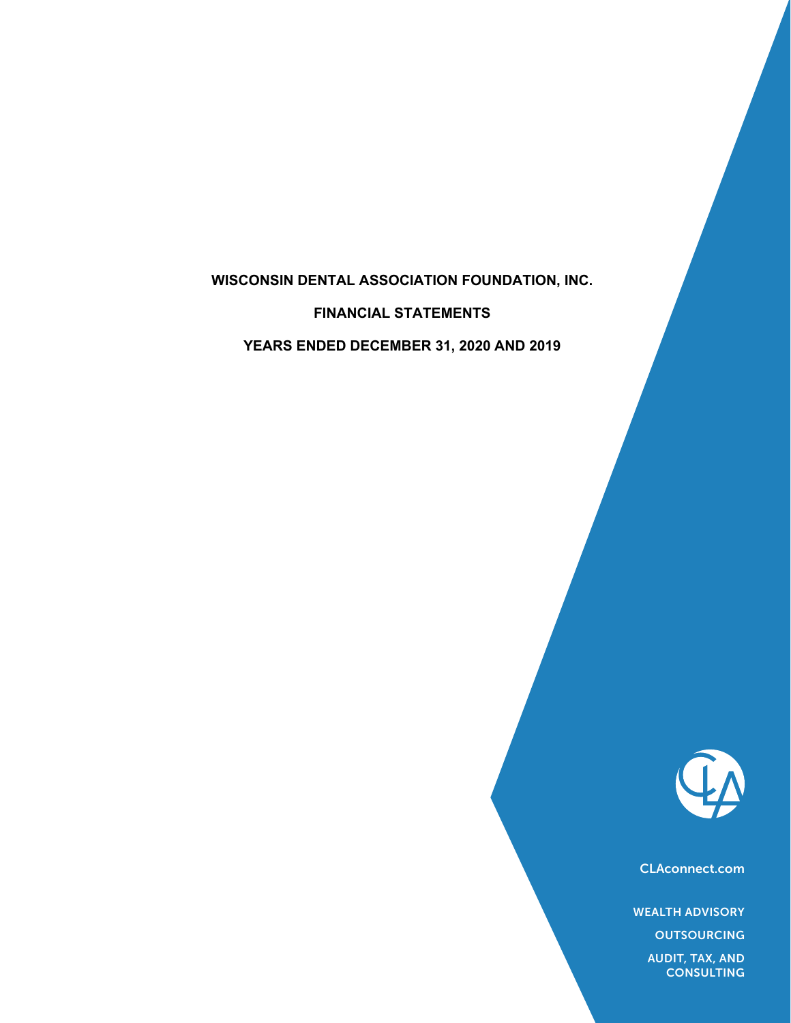# **WISCONSIN DENTAL ASSOCIATION FOUNDATION, INC.**

**FINANCIAL STATEMENTS**

**YEARS ENDED DECEMBER 31, 2020 AND 2019**



CLAconnect.com

WEALTH ADVISORY

**OUTSOURCING** 

AUDIT, TAX, AND **CONSULTING**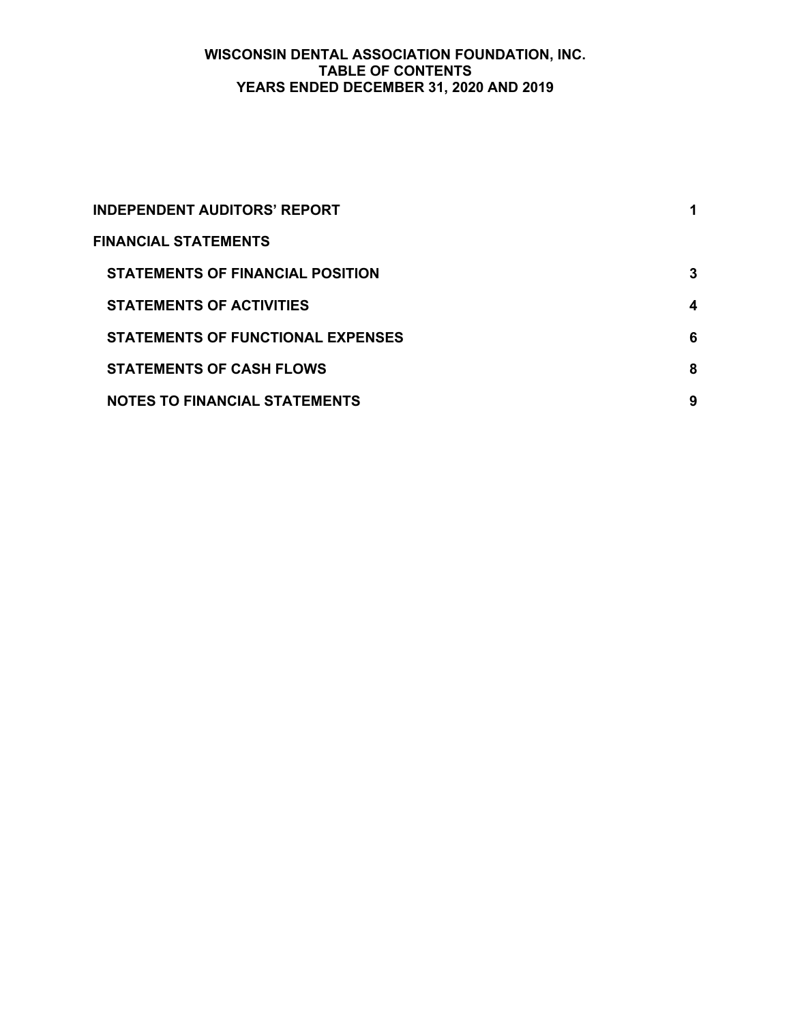# **WISCONSIN DENTAL ASSOCIATION FOUNDATION, INC. TABLE OF CONTENTS YEARS ENDED DECEMBER 31, 2020 AND 2019**

| <b>INDEPENDENT AUDITORS' REPORT</b>      |   |
|------------------------------------------|---|
| <b>FINANCIAL STATEMENTS</b>              |   |
| <b>STATEMENTS OF FINANCIAL POSITION</b>  | 3 |
| <b>STATEMENTS OF ACTIVITIES</b>          | 4 |
| <b>STATEMENTS OF FUNCTIONAL EXPENSES</b> | 6 |
| <b>STATEMENTS OF CASH FLOWS</b>          | 8 |
| <b>NOTES TO FINANCIAL STATEMENTS</b>     | 9 |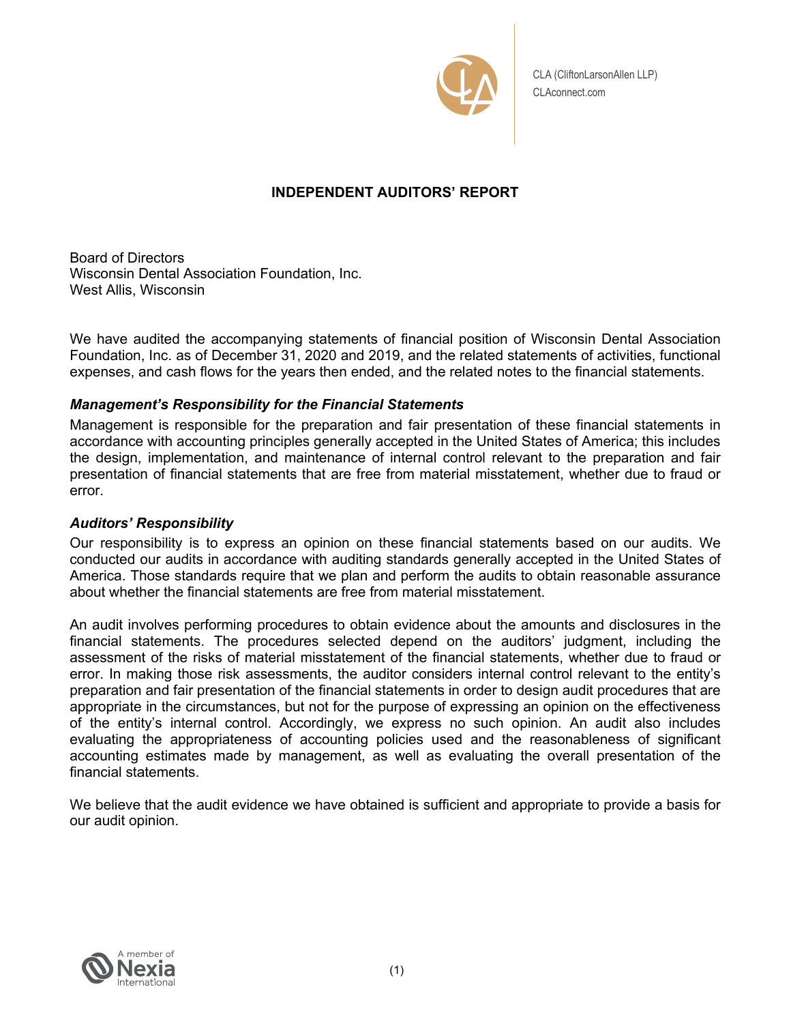

CLA (CliftonLarsonAllen LLP) CLAconnect.com

# **INDEPENDENT AUDITORS' REPORT**

Board of Directors Wisconsin Dental Association Foundation, Inc. West Allis, Wisconsin

We have audited the accompanying statements of financial position of Wisconsin Dental Association Foundation, Inc. as of December 31, 2020 and 2019, and the related statements of activities, functional expenses, and cash flows for the years then ended, and the related notes to the financial statements.

# *Management's Responsibility for the Financial Statements*

Management is responsible for the preparation and fair presentation of these financial statements in accordance with accounting principles generally accepted in the United States of America; this includes the design, implementation, and maintenance of internal control relevant to the preparation and fair presentation of financial statements that are free from material misstatement, whether due to fraud or error.

# *Auditors' Responsibility*

Our responsibility is to express an opinion on these financial statements based on our audits. We conducted our audits in accordance with auditing standards generally accepted in the United States of America. Those standards require that we plan and perform the audits to obtain reasonable assurance about whether the financial statements are free from material misstatement.

An audit involves performing procedures to obtain evidence about the amounts and disclosures in the financial statements. The procedures selected depend on the auditors' judgment, including the assessment of the risks of material misstatement of the financial statements, whether due to fraud or error. In making those risk assessments, the auditor considers internal control relevant to the entity's preparation and fair presentation of the financial statements in order to design audit procedures that are appropriate in the circumstances, but not for the purpose of expressing an opinion on the effectiveness of the entity's internal control. Accordingly, we express no such opinion. An audit also includes evaluating the appropriateness of accounting policies used and the reasonableness of significant accounting estimates made by management, as well as evaluating the overall presentation of the financial statements.

We believe that the audit evidence we have obtained is sufficient and appropriate to provide a basis for our audit opinion.

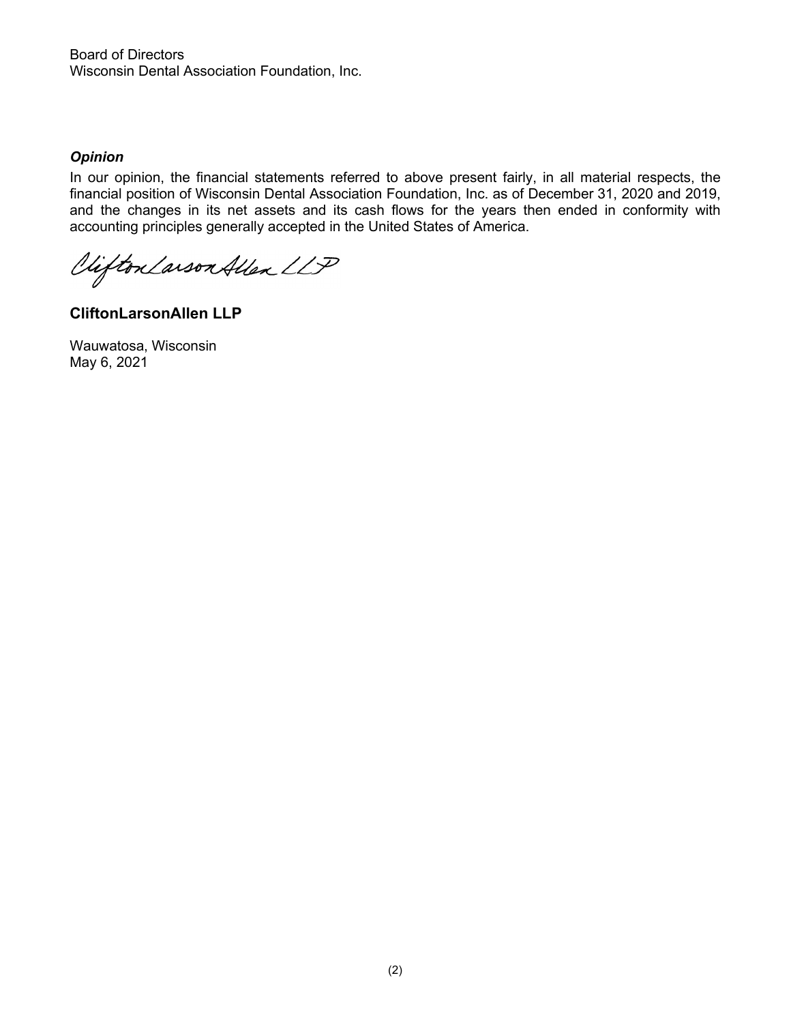Board of Directors Wisconsin Dental Association Foundation, Inc.

### *Opinion*

In our opinion, the financial statements referred to above present fairly, in all material respects, the financial position of Wisconsin Dental Association Foundation, Inc. as of December 31, 2020 and 2019, and the changes in its net assets and its cash flows for the years then ended in conformity with accounting principles generally accepted in the United States of America.

Clifton Larson Allen LLP

**CliftonLarsonAllen LLP**

Wauwatosa, Wisconsin May 6, 2021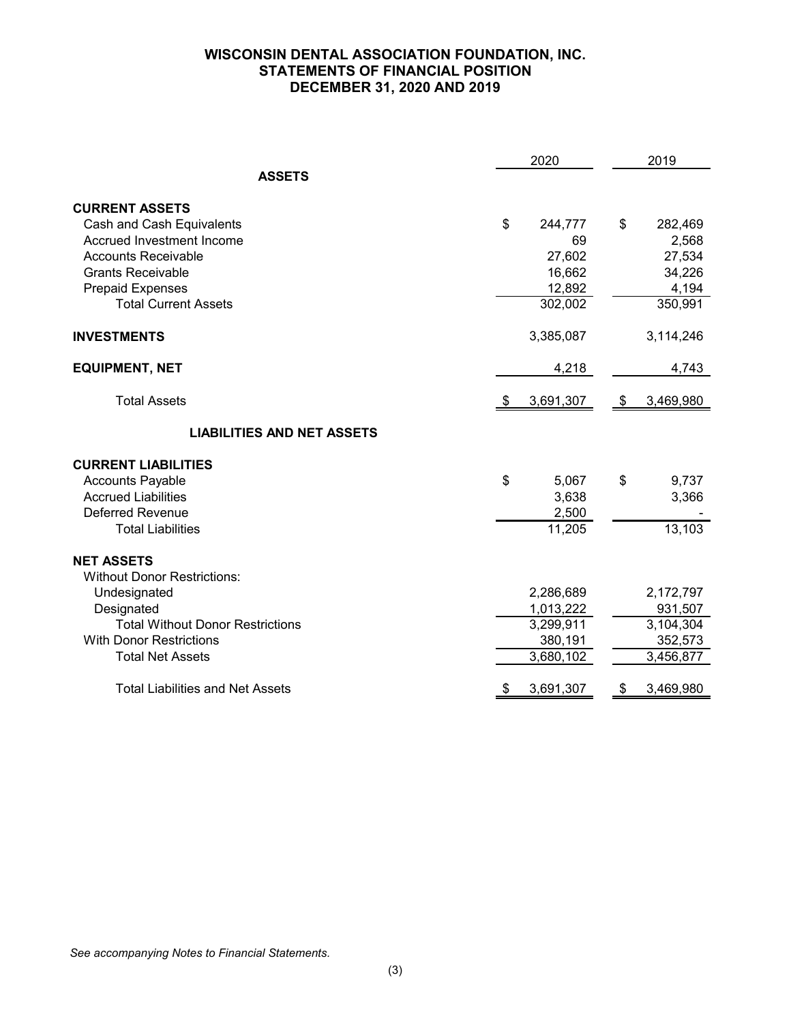# **WISCONSIN DENTAL ASSOCIATION FOUNDATION, INC. STATEMENTS OF FINANCIAL POSITION DECEMBER 31, 2020 AND 2019**

|                                         | 2020                  | 2019      |  |  |
|-----------------------------------------|-----------------------|-----------|--|--|
| <b>ASSETS</b>                           |                       |           |  |  |
| <b>CURRENT ASSETS</b>                   |                       |           |  |  |
| Cash and Cash Equivalents               | \$<br>\$<br>244,777   | 282,469   |  |  |
| Accrued Investment Income               | 69                    | 2,568     |  |  |
| <b>Accounts Receivable</b>              | 27,602                | 27,534    |  |  |
| <b>Grants Receivable</b>                | 16,662                | 34,226    |  |  |
| <b>Prepaid Expenses</b>                 | 12,892                | 4,194     |  |  |
| <b>Total Current Assets</b>             | 302,002               | 350,991   |  |  |
| <b>INVESTMENTS</b>                      | 3,385,087             | 3,114,246 |  |  |
| <b>EQUIPMENT, NET</b>                   | 4,218                 | 4,743     |  |  |
| <b>Total Assets</b>                     | \$<br>3,691,307<br>\$ | 3,469,980 |  |  |
| <b>LIABILITIES AND NET ASSETS</b>       |                       |           |  |  |
| <b>CURRENT LIABILITIES</b>              |                       |           |  |  |
| <b>Accounts Payable</b>                 | \$<br>\$<br>5,067     | 9,737     |  |  |
| <b>Accrued Liabilities</b>              | 3,638                 | 3,366     |  |  |
| <b>Deferred Revenue</b>                 | 2,500                 |           |  |  |
| <b>Total Liabilities</b>                | 11,205                | 13,103    |  |  |
| <b>NET ASSETS</b>                       |                       |           |  |  |
| <b>Without Donor Restrictions:</b>      |                       |           |  |  |
| Undesignated                            | 2,286,689             | 2,172,797 |  |  |
| Designated                              | 1,013,222             | 931,507   |  |  |
| <b>Total Without Donor Restrictions</b> | 3,299,911             | 3,104,304 |  |  |
| <b>With Donor Restrictions</b>          | 380,191               | 352,573   |  |  |
| <b>Total Net Assets</b>                 | 3,680,102             | 3,456,877 |  |  |
| <b>Total Liabilities and Net Assets</b> | \$<br>3,691,307<br>\$ | 3,469,980 |  |  |

*See accompanying Notes to Financial Statements.*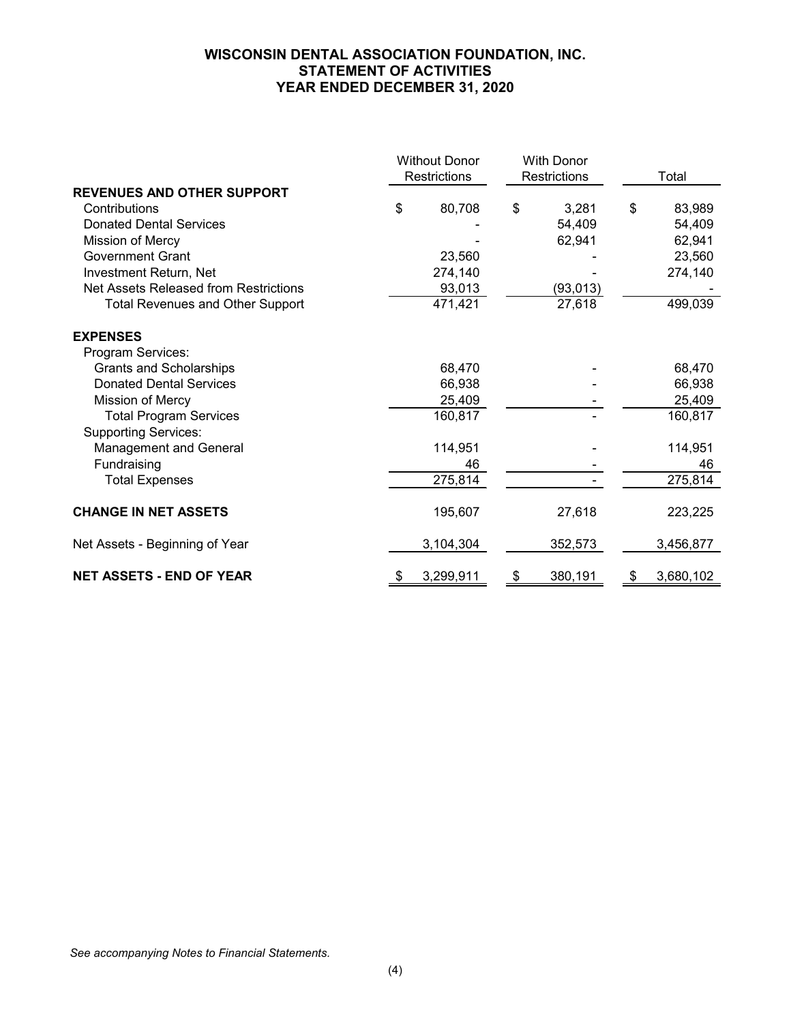# **WISCONSIN DENTAL ASSOCIATION FOUNDATION, INC. STATEMENT OF ACTIVITIES YEAR ENDED DECEMBER 31, 2020**

|                                         | <b>Without Donor</b> |    | <b>With Donor</b> |    |           |
|-----------------------------------------|----------------------|----|-------------------|----|-----------|
|                                         | Restrictions         |    | Restrictions      |    | Total     |
| <b>REVENUES AND OTHER SUPPORT</b>       |                      |    |                   |    |           |
| Contributions                           | \$<br>80,708         | \$ | 3,281             | \$ | 83,989    |
| <b>Donated Dental Services</b>          |                      |    | 54,409            |    | 54,409    |
| Mission of Mercy                        |                      |    | 62,941            |    | 62,941    |
| <b>Government Grant</b>                 | 23,560               |    |                   |    | 23,560    |
| Investment Return, Net                  | 274,140              |    |                   |    | 274,140   |
| Net Assets Released from Restrictions   | 93,013               |    | (93, 013)         |    |           |
| <b>Total Revenues and Other Support</b> | 471,421              |    | 27,618            |    | 499,039   |
| <b>EXPENSES</b>                         |                      |    |                   |    |           |
| Program Services:                       |                      |    |                   |    |           |
| <b>Grants and Scholarships</b>          | 68,470               |    |                   |    | 68,470    |
| <b>Donated Dental Services</b>          | 66,938               |    |                   |    | 66,938    |
| Mission of Mercy                        | 25,409               |    |                   |    | 25,409    |
| <b>Total Program Services</b>           | 160,817              |    |                   |    | 160,817   |
| <b>Supporting Services:</b>             |                      |    |                   |    |           |
| <b>Management and General</b>           | 114,951              |    |                   |    | 114,951   |
| Fundraising                             | 46                   |    |                   |    | 46        |
| <b>Total Expenses</b>                   | 275,814              |    |                   |    | 275,814   |
| <b>CHANGE IN NET ASSETS</b>             | 195,607              |    | 27,618            |    | 223,225   |
| Net Assets - Beginning of Year          | 3,104,304            |    | 352,573           |    | 3,456,877 |
| <b>NET ASSETS - END OF YEAR</b>         | 3,299,911            | \$ | 380,191           | S  | 3,680,102 |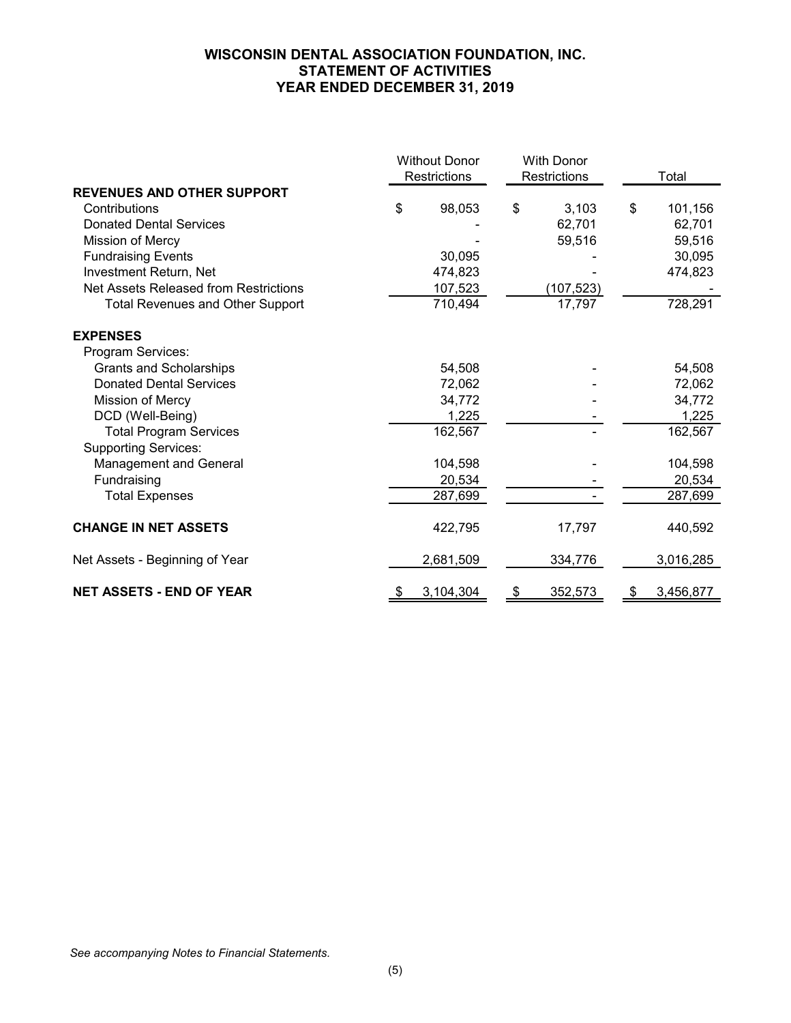# **WISCONSIN DENTAL ASSOCIATION FOUNDATION, INC. STATEMENT OF ACTIVITIES YEAR ENDED DECEMBER 31, 2019**

|                                         | <b>Without Donor</b><br>Restrictions |           | <b>With Donor</b><br>Restrictions | Total           |
|-----------------------------------------|--------------------------------------|-----------|-----------------------------------|-----------------|
| <b>REVENUES AND OTHER SUPPORT</b>       |                                      |           |                                   |                 |
| Contributions                           | \$                                   | 98,053    | \$<br>3,103                       | \$<br>101,156   |
| <b>Donated Dental Services</b>          |                                      |           | 62,701                            | 62,701          |
| Mission of Mercy                        |                                      |           | 59,516                            | 59,516          |
| <b>Fundraising Events</b>               |                                      | 30,095    |                                   | 30,095          |
| Investment Return, Net                  |                                      | 474,823   |                                   | 474,823         |
| Net Assets Released from Restrictions   |                                      | 107,523   | (107, 523)                        |                 |
| <b>Total Revenues and Other Support</b> |                                      | 710,494   | 17,797                            | 728,291         |
| <b>EXPENSES</b>                         |                                      |           |                                   |                 |
| Program Services:                       |                                      |           |                                   |                 |
| <b>Grants and Scholarships</b>          |                                      | 54,508    |                                   | 54,508          |
| <b>Donated Dental Services</b>          |                                      | 72,062    |                                   | 72,062          |
| <b>Mission of Mercy</b>                 |                                      | 34,772    |                                   | 34,772          |
| DCD (Well-Being)                        |                                      | 1,225     |                                   | 1,225           |
| <b>Total Program Services</b>           |                                      | 162,567   |                                   | 162,567         |
| <b>Supporting Services:</b>             |                                      |           |                                   |                 |
| <b>Management and General</b>           |                                      | 104,598   |                                   | 104,598         |
| Fundraising                             |                                      | 20,534    |                                   | 20,534          |
| <b>Total Expenses</b>                   |                                      | 287,699   |                                   | 287,699         |
| <b>CHANGE IN NET ASSETS</b>             |                                      | 422,795   | 17,797                            | 440,592         |
| Net Assets - Beginning of Year          |                                      | 2,681,509 | 334,776                           | 3,016,285       |
| <b>NET ASSETS - END OF YEAR</b>         | \$                                   | 3,104,304 | \$<br>352,573                     | \$<br>3,456,877 |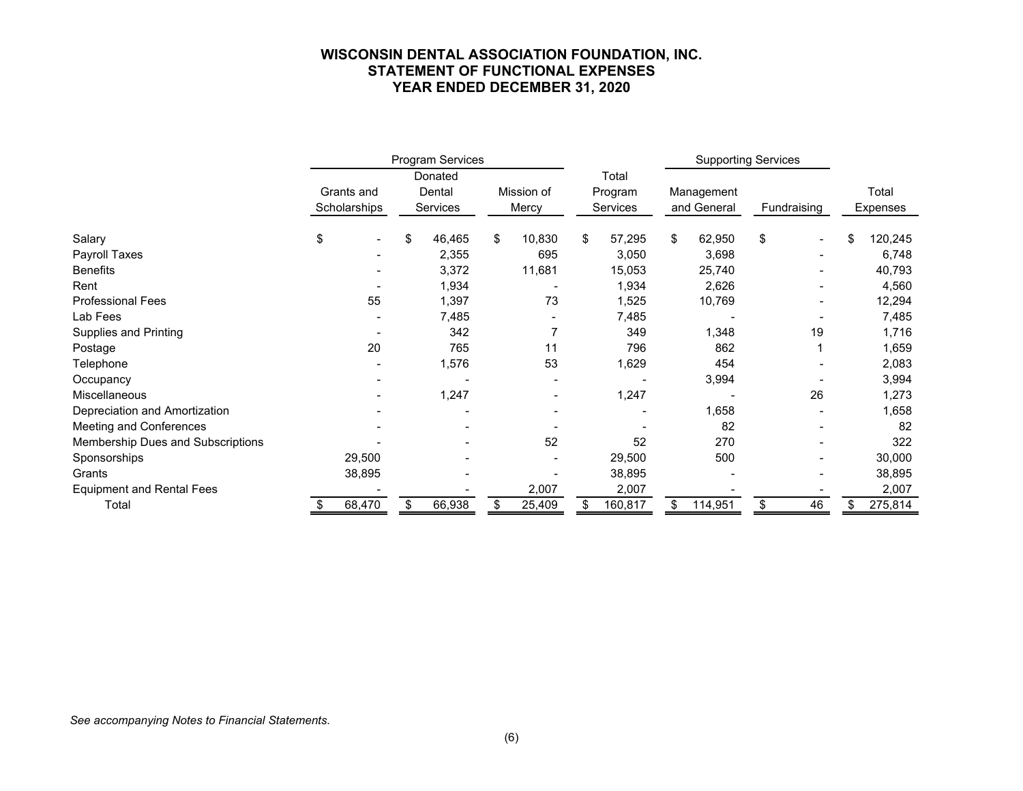### **WISCONSIN DENTAL ASSOCIATION FOUNDATION, INC. STATEMENT OF FUNCTIONAL EXPENSES YEAR ENDED DECEMBER 31, 2020**

|                                   | Program Services |              |  |          |    |            |    |          | <b>Supporting Services</b> |             |    |                |    |          |
|-----------------------------------|------------------|--------------|--|----------|----|------------|----|----------|----------------------------|-------------|----|----------------|----|----------|
|                                   | Donated          |              |  |          |    | Total      |    |          |                            |             |    |                |    |          |
|                                   |                  | Grants and   |  | Dental   |    | Mission of |    | Program  |                            | Management  |    |                |    | Total    |
|                                   |                  | Scholarships |  | Services |    | Mercy      |    | Services |                            | and General |    | Fundraising    |    | Expenses |
| Salary                            | \$               |              |  | 46,465   | \$ | 10,830     | \$ | 57,295   | \$                         | 62,950      | \$ |                | \$ | 120,245  |
| Payroll Taxes                     |                  |              |  | 2,355    |    | 695        |    | 3,050    |                            | 3,698       |    |                |    | 6,748    |
| <b>Benefits</b>                   |                  |              |  | 3,372    |    | 11,681     |    | 15,053   |                            | 25,740      |    | $\blacksquare$ |    | 40,793   |
| Rent                              |                  |              |  | 1,934    |    |            |    | 1,934    |                            | 2,626       |    |                |    | 4,560    |
| <b>Professional Fees</b>          |                  | 55           |  | 1,397    |    | 73         |    | 1,525    |                            | 10,769      |    |                |    | 12,294   |
| Lab Fees                          |                  |              |  | 7,485    |    |            |    | 7,485    |                            |             |    |                |    | 7,485    |
| <b>Supplies and Printing</b>      |                  |              |  | 342      |    | 7          |    | 349      |                            | 1,348       |    | 19             |    | 1,716    |
| Postage                           |                  | 20           |  | 765      |    | 11         |    | 796      |                            | 862         |    |                |    | 1,659    |
| Telephone                         |                  |              |  | 1,576    |    | 53         |    | 1,629    |                            | 454         |    |                |    | 2,083    |
| Occupancy                         |                  |              |  |          |    |            |    |          |                            | 3,994       |    |                |    | 3,994    |
| <b>Miscellaneous</b>              |                  |              |  | 1,247    |    |            |    | 1,247    |                            |             |    | 26             |    | 1,273    |
| Depreciation and Amortization     |                  |              |  |          |    |            |    |          |                            | 1,658       |    |                |    | 1,658    |
| Meeting and Conferences           |                  |              |  |          |    |            |    |          |                            | 82          |    |                |    | 82       |
| Membership Dues and Subscriptions |                  |              |  |          |    | 52         |    | 52       |                            | 270         |    |                |    | 322      |
| Sponsorships                      |                  | 29,500       |  |          |    |            |    | 29,500   |                            | 500         |    |                |    | 30,000   |
| Grants                            |                  | 38,895       |  |          |    |            |    | 38,895   |                            |             |    |                |    | 38,895   |
| <b>Equipment and Rental Fees</b>  |                  |              |  |          |    | 2,007      |    | 2,007    |                            |             |    |                |    | 2,007    |
| Total                             |                  | 68,470       |  | 66,938   |    | 25,409     |    | 160,817  | \$                         | 114,951     |    | 46             |    | 275,814  |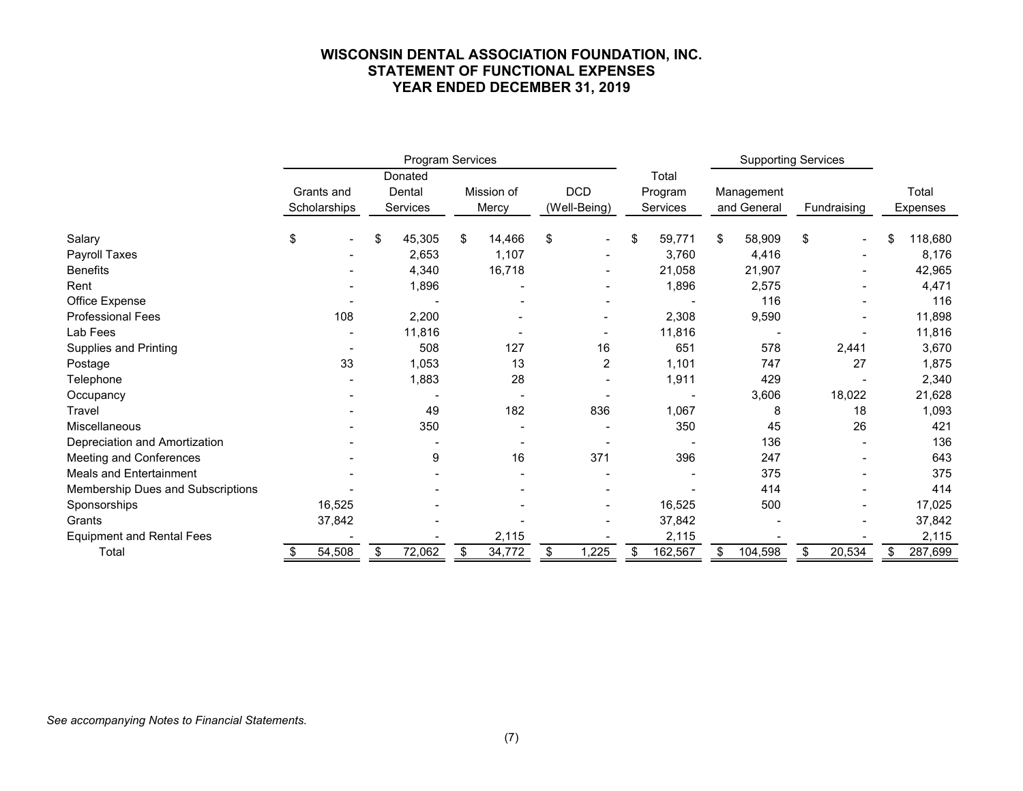#### **WISCONSIN DENTAL ASSOCIATION FOUNDATION, INC. STATEMENT OF FUNCTIONAL EXPENSES YEAR ENDED DECEMBER 31, 2019**

|                                   |                      | Program Services |                 |                          |        |         |                |            |          | <b>Supporting Services</b> |             |       |             |    |          |
|-----------------------------------|----------------------|------------------|-----------------|--------------------------|--------|---------|----------------|------------|----------|----------------------------|-------------|-------|-------------|----|----------|
|                                   |                      |                  | Donated         |                          |        |         |                |            | Total    |                            |             |       |             |    |          |
|                                   | Grants and<br>Dental |                  |                 | <b>DCD</b><br>Mission of |        | Program |                | Management |          |                            |             | Total |             |    |          |
|                                   | Scholarships         |                  | <b>Services</b> |                          | Mercy  |         | (Well-Being)   |            | Services |                            | and General |       | Fundraising |    | Expenses |
| Salary                            | \$                   | \$               | 45,305          | \$                       | 14,466 | \$      |                | \$         | 59,771   | \$                         | 58,909      | \$    |             | \$ | 118,680  |
| Payroll Taxes                     |                      |                  | 2,653           |                          | 1,107  |         |                |            | 3,760    |                            | 4,416       |       |             |    | 8,176    |
| <b>Benefits</b>                   |                      |                  | 4,340           |                          | 16,718 |         |                |            | 21,058   |                            | 21,907      |       |             |    | 42,965   |
| Rent                              |                      |                  | 1,896           |                          |        |         |                |            | 1,896    |                            | 2,575       |       |             |    | 4,471    |
| Office Expense                    |                      |                  |                 |                          |        |         |                |            |          |                            | 116         |       |             |    | 116      |
| <b>Professional Fees</b>          | 108                  |                  | 2,200           |                          |        |         |                |            | 2,308    |                            | 9,590       |       |             |    | 11,898   |
| Lab Fees                          |                      |                  | 11,816          |                          |        |         |                |            | 11,816   |                            |             |       |             |    | 11,816   |
| <b>Supplies and Printing</b>      |                      |                  | 508             |                          | 127    |         | 16             |            | 651      |                            | 578         |       | 2,441       |    | 3,670    |
| Postage                           | 33                   |                  | 1,053           |                          | 13     |         | $\overline{2}$ |            | 1,101    |                            | 747         |       | 27          |    | 1,875    |
| Telephone                         |                      |                  | 1,883           |                          | 28     |         |                |            | 1,911    |                            | 429         |       |             |    | 2,340    |
| Occupancy                         |                      |                  |                 |                          |        |         |                |            |          |                            | 3,606       |       | 18,022      |    | 21,628   |
| Travel                            |                      |                  | 49              |                          | 182    |         | 836            |            | 1,067    |                            | 8           |       | 18          |    | 1,093    |
| Miscellaneous                     |                      |                  | 350             |                          |        |         |                |            | 350      |                            | 45          |       | 26          |    | 421      |
| Depreciation and Amortization     |                      |                  |                 |                          |        |         |                |            |          |                            | 136         |       |             |    | 136      |
| Meeting and Conferences           |                      |                  | 9               |                          | 16     |         | 371            |            | 396      |                            | 247         |       |             |    | 643      |
| <b>Meals and Entertainment</b>    |                      |                  |                 |                          |        |         |                |            |          |                            | 375         |       |             |    | 375      |
| Membership Dues and Subscriptions |                      |                  |                 |                          |        |         |                |            |          |                            | 414         |       |             |    | 414      |
| Sponsorships                      | 16,525               |                  |                 |                          |        |         |                |            | 16,525   |                            | 500         |       |             |    | 17,025   |
| Grants                            | 37,842               |                  |                 |                          |        |         |                |            | 37,842   |                            |             |       |             |    | 37,842   |
| <b>Equipment and Rental Fees</b>  |                      |                  |                 |                          | 2,115  |         |                |            | 2,115    |                            |             |       |             |    | 2,115    |
| Total                             | 54,508               | \$               | 72,062          | \$                       | 34,772 | \$      | ,225           | \$         | 162,567  | \$                         | 104,598     |       | 20,534      | \$ | 287,699  |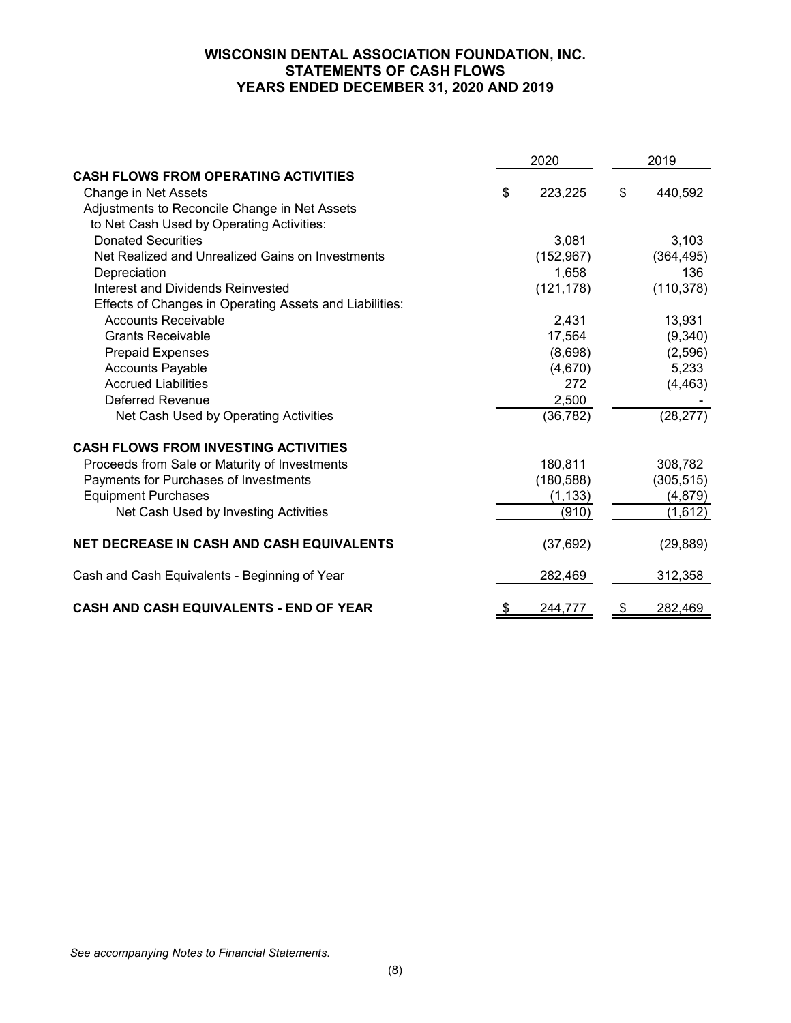# **WISCONSIN DENTAL ASSOCIATION FOUNDATION, INC. STATEMENTS OF CASH FLOWS YEARS ENDED DECEMBER 31, 2020 AND 2019**

|                                                         | 2020          | 2019 |            |  |
|---------------------------------------------------------|---------------|------|------------|--|
| <b>CASH FLOWS FROM OPERATING ACTIVITIES</b>             |               |      |            |  |
| Change in Net Assets                                    | \$<br>223,225 | \$   | 440,592    |  |
| Adjustments to Reconcile Change in Net Assets           |               |      |            |  |
| to Net Cash Used by Operating Activities:               |               |      |            |  |
| <b>Donated Securities</b>                               | 3,081         |      | 3,103      |  |
| Net Realized and Unrealized Gains on Investments        | (152, 967)    |      | (364, 495) |  |
| Depreciation                                            | 1,658         |      | 136        |  |
| Interest and Dividends Reinvested                       | (121, 178)    |      | (110, 378) |  |
| Effects of Changes in Operating Assets and Liabilities: |               |      |            |  |
| <b>Accounts Receivable</b>                              | 2,431         |      | 13,931     |  |
| <b>Grants Receivable</b>                                | 17,564        |      | (9,340)    |  |
| <b>Prepaid Expenses</b>                                 | (8,698)       |      | (2,596)    |  |
| <b>Accounts Payable</b>                                 | (4,670)       |      | 5,233      |  |
| <b>Accrued Liabilities</b>                              | 272           |      | (4, 463)   |  |
| <b>Deferred Revenue</b>                                 | 2,500         |      |            |  |
| Net Cash Used by Operating Activities                   | (36, 782)     |      | (28, 277)  |  |
| <b>CASH FLOWS FROM INVESTING ACTIVITIES</b>             |               |      |            |  |
| Proceeds from Sale or Maturity of Investments           | 180,811       |      | 308,782    |  |
| Payments for Purchases of Investments                   | (180, 588)    |      | (305, 515) |  |
| <b>Equipment Purchases</b>                              | (1, 133)      |      | (4, 879)   |  |
| Net Cash Used by Investing Activities                   | (910)         |      | (1,612)    |  |
| <b>NET DECREASE IN CASH AND CASH EQUIVALENTS</b>        | (37, 692)     |      | (29, 889)  |  |
| Cash and Cash Equivalents - Beginning of Year           | 282,469       |      | 312,358    |  |
| <b>CASH AND CASH EQUIVALENTS - END OF YEAR</b>          | \$<br>244,777 | \$   | 282,469    |  |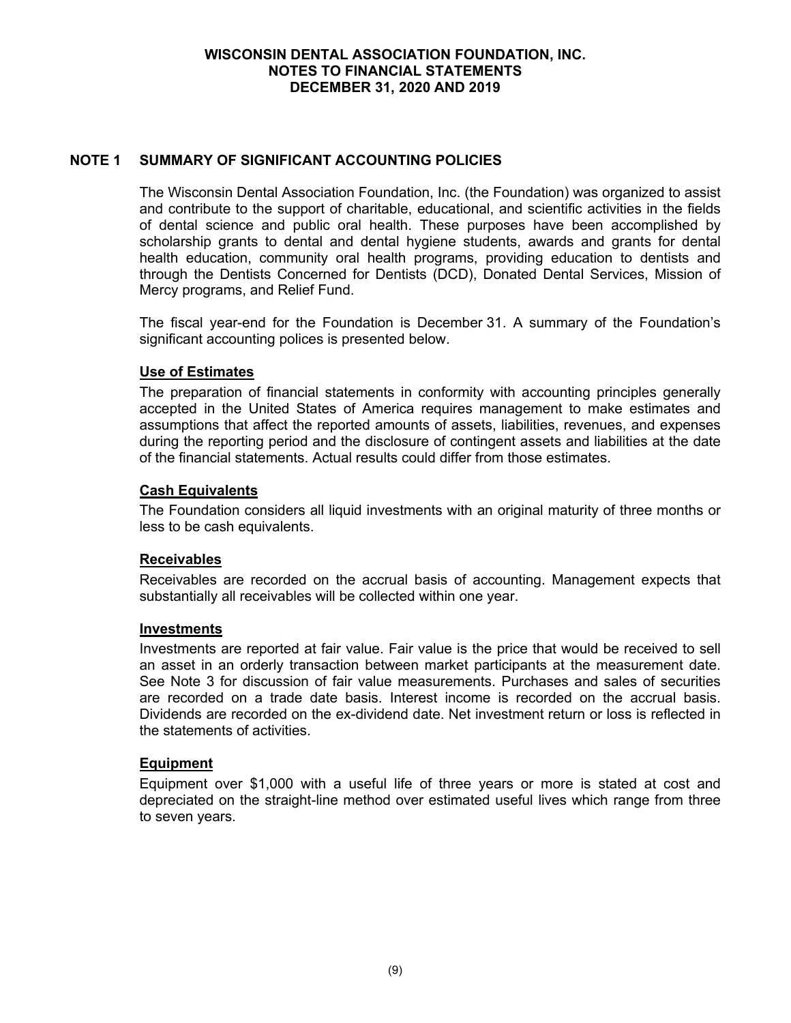# **NOTE 1 SUMMARY OF SIGNIFICANT ACCOUNTING POLICIES**

The Wisconsin Dental Association Foundation, Inc. (the Foundation) was organized to assist and contribute to the support of charitable, educational, and scientific activities in the fields of dental science and public oral health. These purposes have been accomplished by scholarship grants to dental and dental hygiene students, awards and grants for dental health education, community oral health programs, providing education to dentists and through the Dentists Concerned for Dentists (DCD), Donated Dental Services, Mission of Mercy programs, and Relief Fund.

The fiscal year-end for the Foundation is December 31. A summary of the Foundation's significant accounting polices is presented below.

# **Use of Estimates**

The preparation of financial statements in conformity with accounting principles generally accepted in the United States of America requires management to make estimates and assumptions that affect the reported amounts of assets, liabilities, revenues, and expenses during the reporting period and the disclosure of contingent assets and liabilities at the date of the financial statements. Actual results could differ from those estimates.

### **Cash Equivalents**

The Foundation considers all liquid investments with an original maturity of three months or less to be cash equivalents.

# **Receivables**

Receivables are recorded on the accrual basis of accounting. Management expects that substantially all receivables will be collected within one year.

#### **Investments**

Investments are reported at fair value. Fair value is the price that would be received to sell an asset in an orderly transaction between market participants at the measurement date. See Note 3 for discussion of fair value measurements. Purchases and sales of securities are recorded on a trade date basis. Interest income is recorded on the accrual basis. Dividends are recorded on the ex-dividend date. Net investment return or loss is reflected in the statements of activities.

# **Equipment**

Equipment over \$1,000 with a useful life of three years or more is stated at cost and depreciated on the straight-line method over estimated useful lives which range from three to seven years.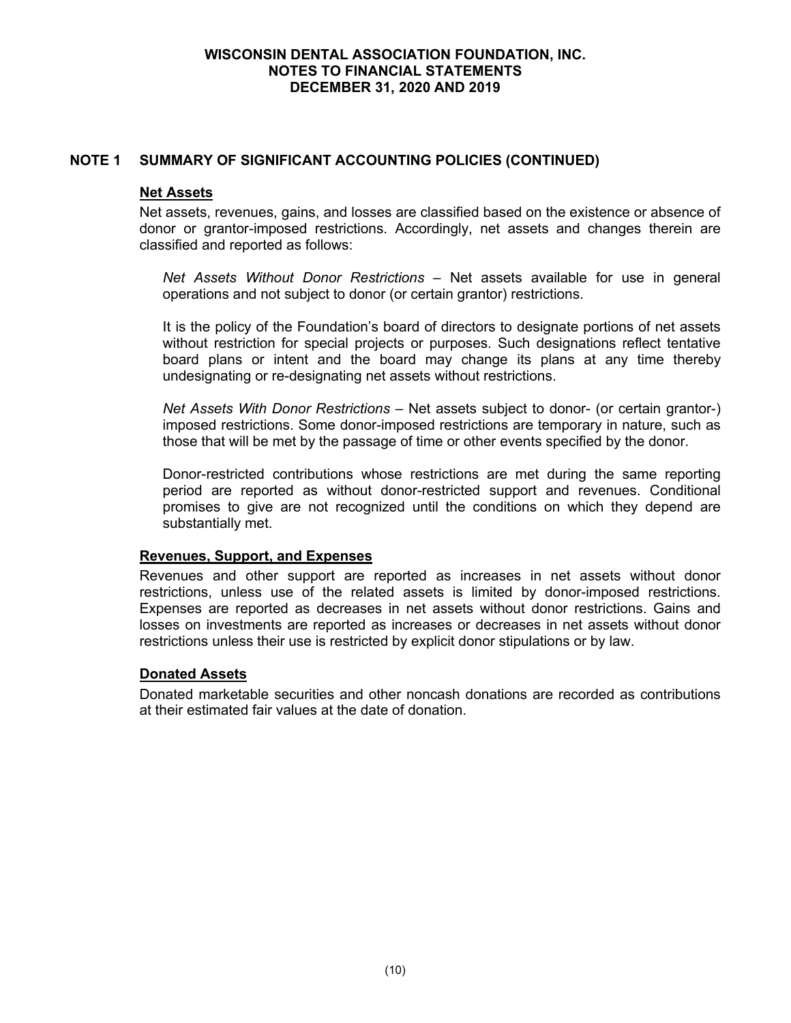### **NOTE 1 SUMMARY OF SIGNIFICANT ACCOUNTING POLICIES (CONTINUED)**

#### **Net Assets**

Net assets, revenues, gains, and losses are classified based on the existence or absence of donor or grantor-imposed restrictions. Accordingly, net assets and changes therein are classified and reported as follows:

*Net Assets Without Donor Restrictions* – Net assets available for use in general operations and not subject to donor (or certain grantor) restrictions.

It is the policy of the Foundation's board of directors to designate portions of net assets without restriction for special projects or purposes. Such designations reflect tentative board plans or intent and the board may change its plans at any time thereby undesignating or re-designating net assets without restrictions.

*Net Assets With Donor Restrictions* – Net assets subject to donor- (or certain grantor-) imposed restrictions. Some donor-imposed restrictions are temporary in nature, such as those that will be met by the passage of time or other events specified by the donor.

Donor-restricted contributions whose restrictions are met during the same reporting period are reported as without donor-restricted support and revenues. Conditional promises to give are not recognized until the conditions on which they depend are substantially met.

#### **Revenues, Support, and Expenses**

Revenues and other support are reported as increases in net assets without donor restrictions, unless use of the related assets is limited by donor-imposed restrictions. Expenses are reported as decreases in net assets without donor restrictions. Gains and losses on investments are reported as increases or decreases in net assets without donor restrictions unless their use is restricted by explicit donor stipulations or by law.

# **Donated Assets**

Donated marketable securities and other noncash donations are recorded as contributions at their estimated fair values at the date of donation.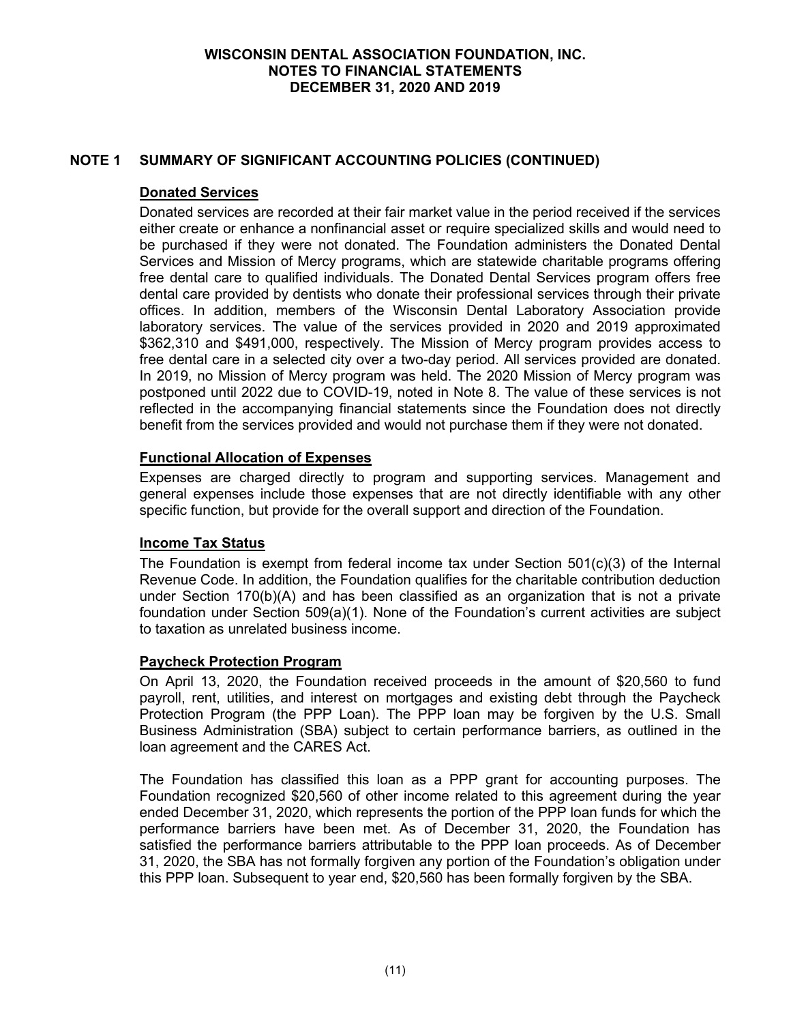# **NOTE 1 SUMMARY OF SIGNIFICANT ACCOUNTING POLICIES (CONTINUED)**

### **Donated Services**

Donated services are recorded at their fair market value in the period received if the services either create or enhance a nonfinancial asset or require specialized skills and would need to be purchased if they were not donated. The Foundation administers the Donated Dental Services and Mission of Mercy programs, which are statewide charitable programs offering free dental care to qualified individuals. The Donated Dental Services program offers free dental care provided by dentists who donate their professional services through their private offices. In addition, members of the Wisconsin Dental Laboratory Association provide laboratory services. The value of the services provided in 2020 and 2019 approximated \$362,310 and \$491,000, respectively. The Mission of Mercy program provides access to free dental care in a selected city over a two-day period. All services provided are donated. In 2019, no Mission of Mercy program was held. The 2020 Mission of Mercy program was postponed until 2022 due to COVID-19, noted in Note 8. The value of these services is not reflected in the accompanying financial statements since the Foundation does not directly benefit from the services provided and would not purchase them if they were not donated.

# **Functional Allocation of Expenses**

Expenses are charged directly to program and supporting services. Management and general expenses include those expenses that are not directly identifiable with any other specific function, but provide for the overall support and direction of the Foundation.

# **Income Tax Status**

The Foundation is exempt from federal income tax under Section  $501(c)(3)$  of the Internal Revenue Code. In addition, the Foundation qualifies for the charitable contribution deduction under Section 170(b)(A) and has been classified as an organization that is not a private foundation under Section 509(a)(1). None of the Foundation's current activities are subject to taxation as unrelated business income.

#### **Paycheck Protection Program**

On April 13, 2020, the Foundation received proceeds in the amount of \$20,560 to fund payroll, rent, utilities, and interest on mortgages and existing debt through the Paycheck Protection Program (the PPP Loan). The PPP loan may be forgiven by the U.S. Small Business Administration (SBA) subject to certain performance barriers, as outlined in the loan agreement and the CARES Act.

The Foundation has classified this loan as a PPP grant for accounting purposes. The Foundation recognized \$20,560 of other income related to this agreement during the year ended December 31, 2020, which represents the portion of the PPP loan funds for which the performance barriers have been met. As of December 31, 2020, the Foundation has satisfied the performance barriers attributable to the PPP loan proceeds. As of December 31, 2020, the SBA has not formally forgiven any portion of the Foundation's obligation under this PPP loan. Subsequent to year end, \$20,560 has been formally forgiven by the SBA.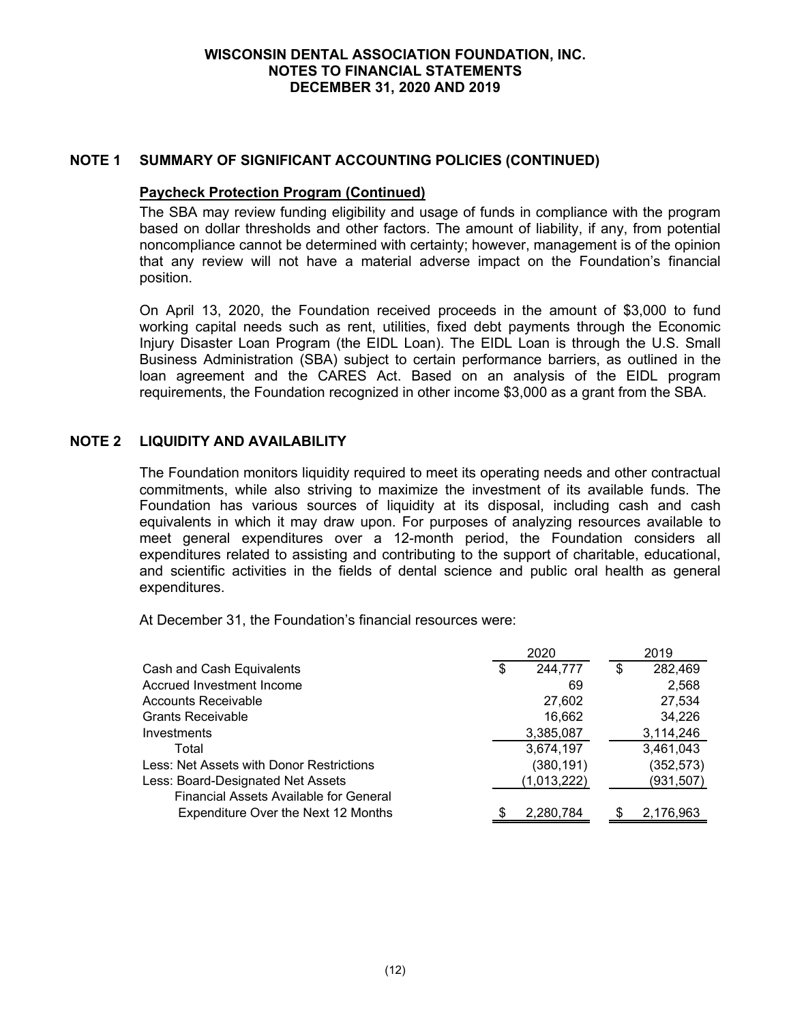### **NOTE 1 SUMMARY OF SIGNIFICANT ACCOUNTING POLICIES (CONTINUED)**

#### **Paycheck Protection Program (Continued)**

The SBA may review funding eligibility and usage of funds in compliance with the program based on dollar thresholds and other factors. The amount of liability, if any, from potential noncompliance cannot be determined with certainty; however, management is of the opinion that any review will not have a material adverse impact on the Foundation's financial position.

On April 13, 2020, the Foundation received proceeds in the amount of \$3,000 to fund working capital needs such as rent, utilities, fixed debt payments through the Economic Injury Disaster Loan Program (the EIDL Loan). The EIDL Loan is through the U.S. Small Business Administration (SBA) subject to certain performance barriers, as outlined in the loan agreement and the CARES Act. Based on an analysis of the EIDL program requirements, the Foundation recognized in other income \$3,000 as a grant from the SBA.

### **NOTE 2 LIQUIDITY AND AVAILABILITY**

The Foundation monitors liquidity required to meet its operating needs and other contractual commitments, while also striving to maximize the investment of its available funds. The Foundation has various sources of liquidity at its disposal, including cash and cash equivalents in which it may draw upon. For purposes of analyzing resources available to meet general expenditures over a 12-month period, the Foundation considers all expenditures related to assisting and contributing to the support of charitable, educational, and scientific activities in the fields of dental science and public oral health as general expenditures.

At December 31, the Foundation's financial resources were:

|                                               | 2020 |             |    | 2019       |
|-----------------------------------------------|------|-------------|----|------------|
| Cash and Cash Equivalents                     | S    | 244,777     | \$ | 282,469    |
| Accrued Investment Income                     |      | 69          |    | 2,568      |
| <b>Accounts Receivable</b>                    |      | 27,602      |    | 27,534     |
| <b>Grants Receivable</b>                      |      | 16,662      |    | 34,226     |
| Investments                                   |      | 3,385,087   |    | 3,114,246  |
| Total                                         |      | 3,674,197   |    | 3,461,043  |
| Less: Net Assets with Donor Restrictions      |      | (380, 191)  |    | (352, 573) |
| Less: Board-Designated Net Assets             |      | (1,013,222) |    | (931, 507) |
| <b>Financial Assets Available for General</b> |      |             |    |            |
| Expenditure Over the Next 12 Months           |      | 2,280,784   |    | 2,176,963  |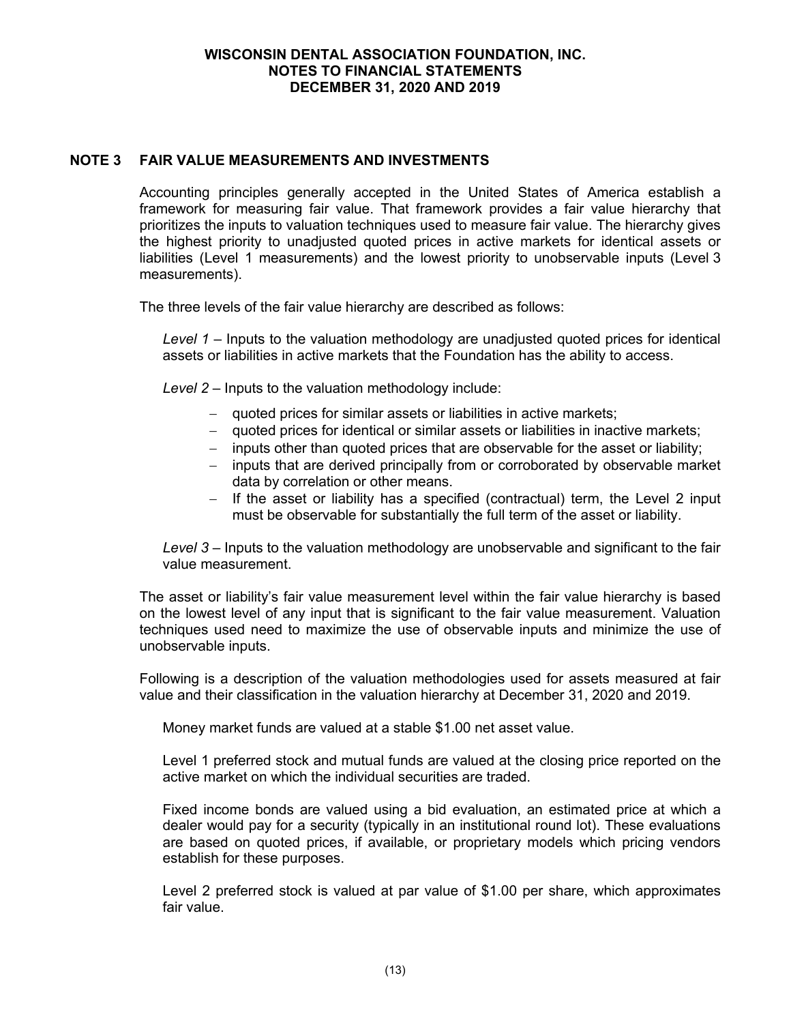### **NOTE 3 FAIR VALUE MEASUREMENTS AND INVESTMENTS**

Accounting principles generally accepted in the United States of America establish a framework for measuring fair value. That framework provides a fair value hierarchy that prioritizes the inputs to valuation techniques used to measure fair value. The hierarchy gives the highest priority to unadjusted quoted prices in active markets for identical assets or liabilities (Level 1 measurements) and the lowest priority to unobservable inputs (Level 3 measurements).

The three levels of the fair value hierarchy are described as follows:

*Level 1* – Inputs to the valuation methodology are unadjusted quoted prices for identical assets or liabilities in active markets that the Foundation has the ability to access.

*Level 2* – Inputs to the valuation methodology include:

- quoted prices for similar assets or liabilities in active markets;
- quoted prices for identical or similar assets or liabilities in inactive markets;
- inputs other than quoted prices that are observable for the asset or liability;
- inputs that are derived principally from or corroborated by observable market data by correlation or other means.
- $-$  If the asset or liability has a specified (contractual) term, the Level 2 input must be observable for substantially the full term of the asset or liability.

*Level 3* – Inputs to the valuation methodology are unobservable and significant to the fair value measurement.

The asset or liability's fair value measurement level within the fair value hierarchy is based on the lowest level of any input that is significant to the fair value measurement. Valuation techniques used need to maximize the use of observable inputs and minimize the use of unobservable inputs.

Following is a description of the valuation methodologies used for assets measured at fair value and their classification in the valuation hierarchy at December 31, 2020 and 2019.

Money market funds are valued at a stable \$1.00 net asset value.

Level 1 preferred stock and mutual funds are valued at the closing price reported on the active market on which the individual securities are traded.

Fixed income bonds are valued using a bid evaluation, an estimated price at which a dealer would pay for a security (typically in an institutional round lot). These evaluations are based on quoted prices, if available, or proprietary models which pricing vendors establish for these purposes.

Level 2 preferred stock is valued at par value of \$1.00 per share, which approximates fair value.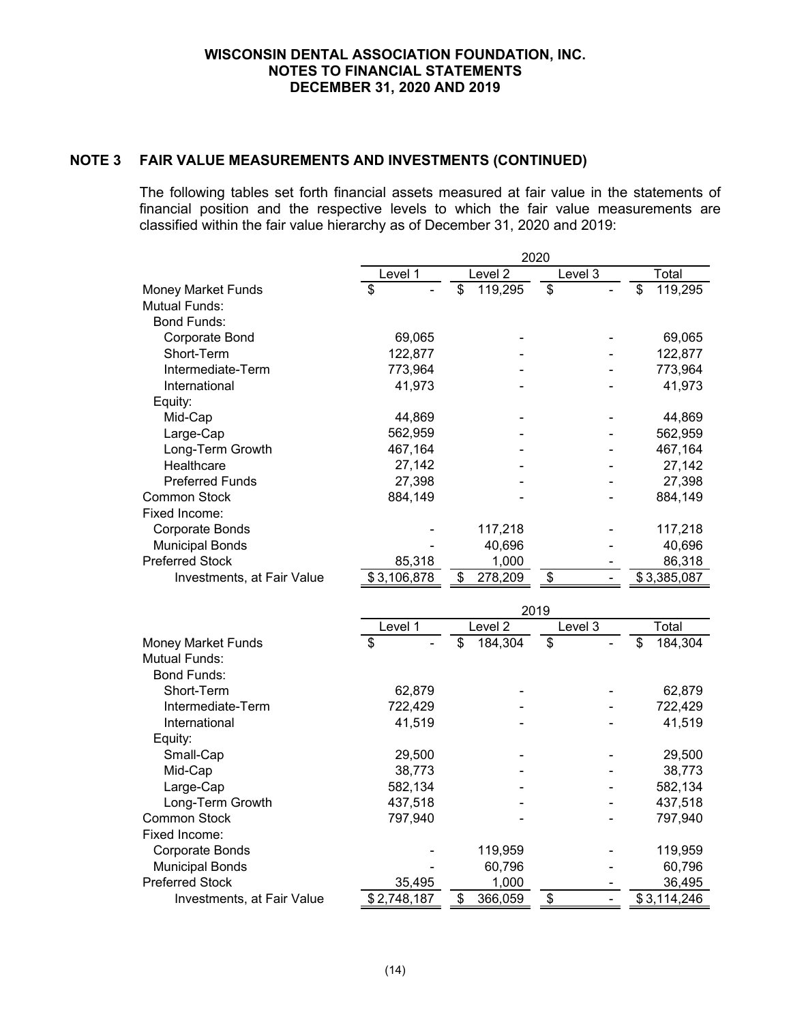# **NOTE 3 FAIR VALUE MEASUREMENTS AND INVESTMENTS (CONTINUED)**

The following tables set forth financial assets measured at fair value in the statements of financial position and the respective levels to which the fair value measurements are classified within the fair value hierarchy as of December 31, 2020 and 2019:

|                            | Level 1     | Level <sub>2</sub> | Level 3 | Total         |
|----------------------------|-------------|--------------------|---------|---------------|
| <b>Money Market Funds</b>  | \$          | \$<br>119,295      | \$      | \$<br>119,295 |
| <b>Mutual Funds:</b>       |             |                    |         |               |
| <b>Bond Funds:</b>         |             |                    |         |               |
| Corporate Bond             | 69,065      |                    |         | 69,065        |
| Short-Term                 | 122,877     |                    |         | 122,877       |
| Intermediate-Term          | 773,964     |                    |         | 773,964       |
| International              | 41,973      |                    |         | 41,973        |
| Equity:                    |             |                    |         |               |
| Mid-Cap                    | 44,869      |                    |         | 44,869        |
| Large-Cap                  | 562,959     |                    |         | 562,959       |
| Long-Term Growth           | 467,164     |                    |         | 467,164       |
| Healthcare                 | 27,142      |                    |         | 27,142        |
| <b>Preferred Funds</b>     | 27,398      |                    |         | 27,398        |
| <b>Common Stock</b>        | 884,149     |                    |         | 884,149       |
| Fixed Income:              |             |                    |         |               |
| <b>Corporate Bonds</b>     |             | 117,218            |         | 117,218       |
| <b>Municipal Bonds</b>     |             | 40,696             |         | 40,696        |
| <b>Preferred Stock</b>     | 85,318      | 1,000              |         | 86,318        |
| Investments, at Fair Value | \$3,106,878 | \$<br>278,209      | \$      | \$3,385,087   |
|                            |             |                    |         |               |
|                            |             | 2019               |         |               |
|                            | Level 1     | Level $2$          | Level 3 | Total         |
| <b>Money Market Funds</b>  | \$          | \$<br>184,304      | \$      | \$<br>184,304 |
| <b>Mutual Funds:</b>       |             |                    |         |               |
| <b>Bond Funds:</b>         |             |                    |         |               |
| Short-Term                 | 62,879      |                    |         | 62,879        |
| Intermediate-Term          | 722,429     |                    |         | 722,429       |
| International              | 41,519      |                    |         | 41,519        |
| Equity:                    |             |                    |         |               |
| Small-Cap                  | 29,500      |                    |         | 29,500        |
| Mid-Cap                    | 38,773      |                    |         | 38,773        |
| Large-Cap                  | 582,134     |                    |         | 582,134       |
| Long-Term Growth           | 437,518     |                    |         | 437,518       |
| <b>Common Stock</b>        | 797,940     |                    |         | 797,940       |
| Fixed Income:              |             |                    |         |               |
| <b>Corporate Bonds</b>     |             | 119,959            |         | 119,959       |
| <b>Municipal Bonds</b>     |             | 60,796             |         | 60,796        |
| <b>Preferred Stock</b>     | 35,495      | 1,000              |         | 36,495        |
| Investments, at Fair Value | \$2,748,187 | \$<br>366,059      | \$      | \$3,114,246   |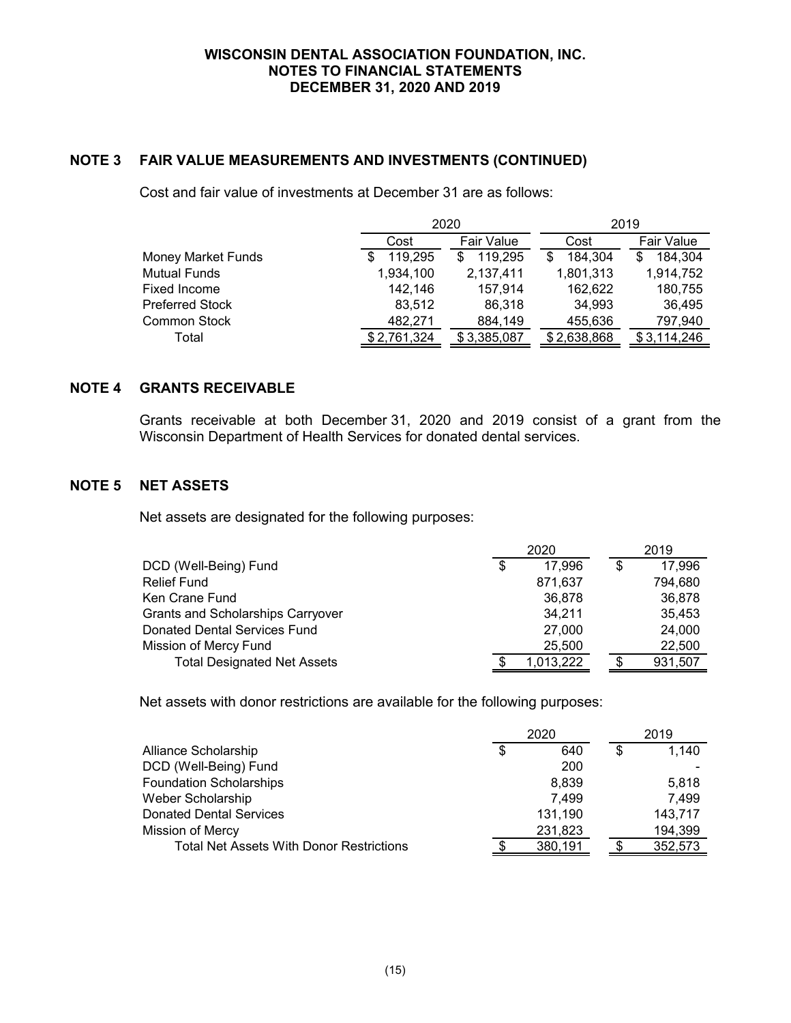### **NOTE 3 FAIR VALUE MEASUREMENTS AND INVESTMENTS (CONTINUED)**

Cost and fair value of investments at December 31 are as follows:

|                    |             | 2020        | 2019        |                   |  |  |
|--------------------|-------------|-------------|-------------|-------------------|--|--|
|                    | Cost        | Fair Value  | Cost        | <b>Fair Value</b> |  |  |
| Money Market Funds | 119,295     | 119,295     | 184,304     | 184,304           |  |  |
| Mutual Funds       | 1,934,100   | 2,137,411   | 1,801,313   | 1,914,752         |  |  |
| Fixed Income       | 142,146     | 157.914     | 162,622     | 180,755           |  |  |
| Preferred Stock    | 83,512      | 86.318      | 34,993      | 36,495            |  |  |
| Common Stock       | 482,271     | 884,149     | 455,636     | 797,940           |  |  |
| Total              | \$2,761,324 | \$3,385,087 | \$2,638,868 | \$3,114,246       |  |  |

### **NOTE 4 GRANTS RECEIVABLE**

Grants receivable at both December 31, 2020 and 2019 consist of a grant from the Wisconsin Department of Health Services for donated dental services.

### **NOTE 5 NET ASSETS**

Net assets are designated for the following purposes:

|                                          | 2020 |           |  | 2019    |
|------------------------------------------|------|-----------|--|---------|
| DCD (Well-Being) Fund                    | S    | 17.996    |  | 17.996  |
| <b>Relief Fund</b>                       |      | 871,637   |  | 794,680 |
| Ken Crane Fund                           |      | 36,878    |  | 36,878  |
| <b>Grants and Scholarships Carryover</b> |      | 34,211    |  | 35,453  |
| <b>Donated Dental Services Fund</b>      |      | 27,000    |  | 24,000  |
| Mission of Mercy Fund                    |      | 25,500    |  | 22,500  |
| <b>Total Designated Net Assets</b>       |      | 1,013,222 |  | 931,507 |

Net assets with donor restrictions are available for the following purposes:

|                                                 |   |         | 2019 |         |
|-------------------------------------------------|---|---------|------|---------|
| Alliance Scholarship                            | S | 640     | S    | 1,140   |
| DCD (Well-Being) Fund                           |   | 200     |      |         |
| Foundation Scholarships                         |   | 8.839   |      | 5.818   |
| Weber Scholarship                               |   | 7,499   |      | 7,499   |
| <b>Donated Dental Services</b>                  |   | 131,190 |      | 143,717 |
| Mission of Mercy                                |   | 231,823 |      | 194,399 |
| <b>Total Net Assets With Donor Restrictions</b> |   | 380,191 |      | 352,573 |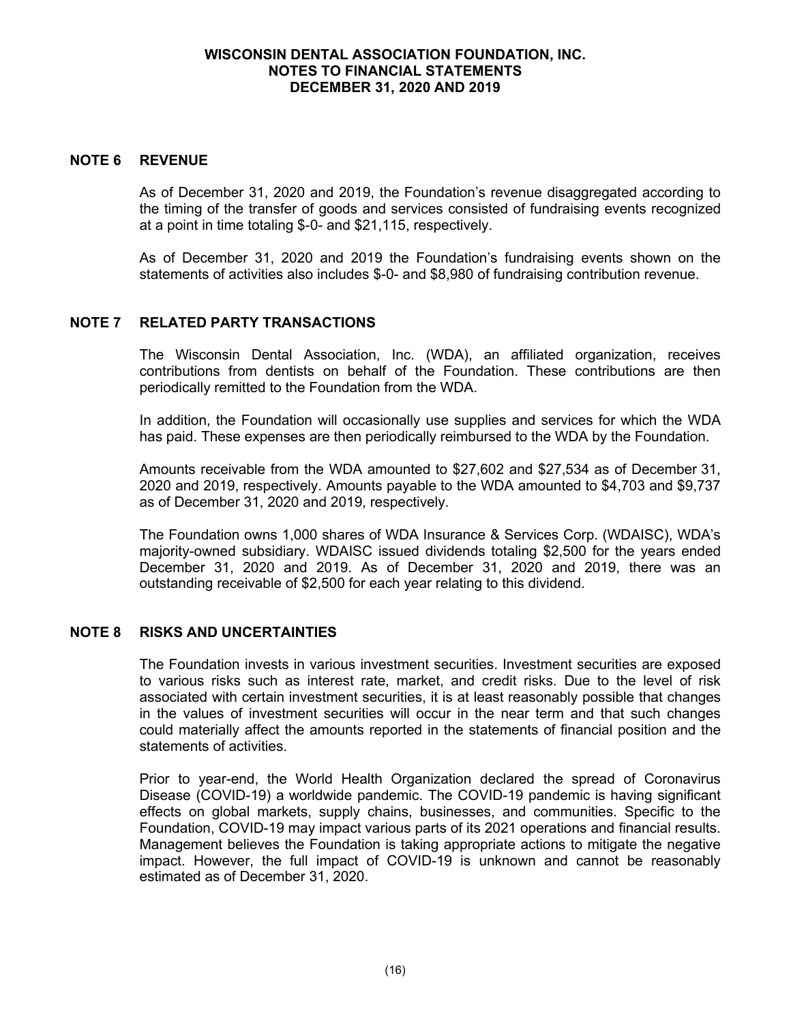#### **NOTE 6 REVENUE**

As of December 31, 2020 and 2019, the Foundation's revenue disaggregated according to the timing of the transfer of goods and services consisted of fundraising events recognized at a point in time totaling \$-0- and \$21,115, respectively.

As of December 31, 2020 and 2019 the Foundation's fundraising events shown on the statements of activities also includes \$-0- and \$8,980 of fundraising contribution revenue.

# **NOTE 7 RELATED PARTY TRANSACTIONS**

The Wisconsin Dental Association, Inc. (WDA), an affiliated organization, receives contributions from dentists on behalf of the Foundation. These contributions are then periodically remitted to the Foundation from the WDA.

In addition, the Foundation will occasionally use supplies and services for which the WDA has paid. These expenses are then periodically reimbursed to the WDA by the Foundation.

Amounts receivable from the WDA amounted to \$27,602 and \$27,534 as of December 31, 2020 and 2019, respectively. Amounts payable to the WDA amounted to \$4,703 and \$9,737 as of December 31, 2020 and 2019, respectively.

The Foundation owns 1,000 shares of WDA Insurance & Services Corp. (WDAISC), WDA's majority-owned subsidiary. WDAISC issued dividends totaling \$2,500 for the years ended December 31, 2020 and 2019. As of December 31, 2020 and 2019, there was an outstanding receivable of \$2,500 for each year relating to this dividend.

### **NOTE 8 RISKS AND UNCERTAINTIES**

The Foundation invests in various investment securities. Investment securities are exposed to various risks such as interest rate, market, and credit risks. Due to the level of risk associated with certain investment securities, it is at least reasonably possible that changes in the values of investment securities will occur in the near term and that such changes could materially affect the amounts reported in the statements of financial position and the statements of activities.

Prior to year-end, the World Health Organization declared the spread of Coronavirus Disease (COVID-19) a worldwide pandemic. The COVID-19 pandemic is having significant effects on global markets, supply chains, businesses, and communities. Specific to the Foundation, COVID-19 may impact various parts of its 2021 operations and financial results. Management believes the Foundation is taking appropriate actions to mitigate the negative impact. However, the full impact of COVID-19 is unknown and cannot be reasonably estimated as of December 31, 2020.